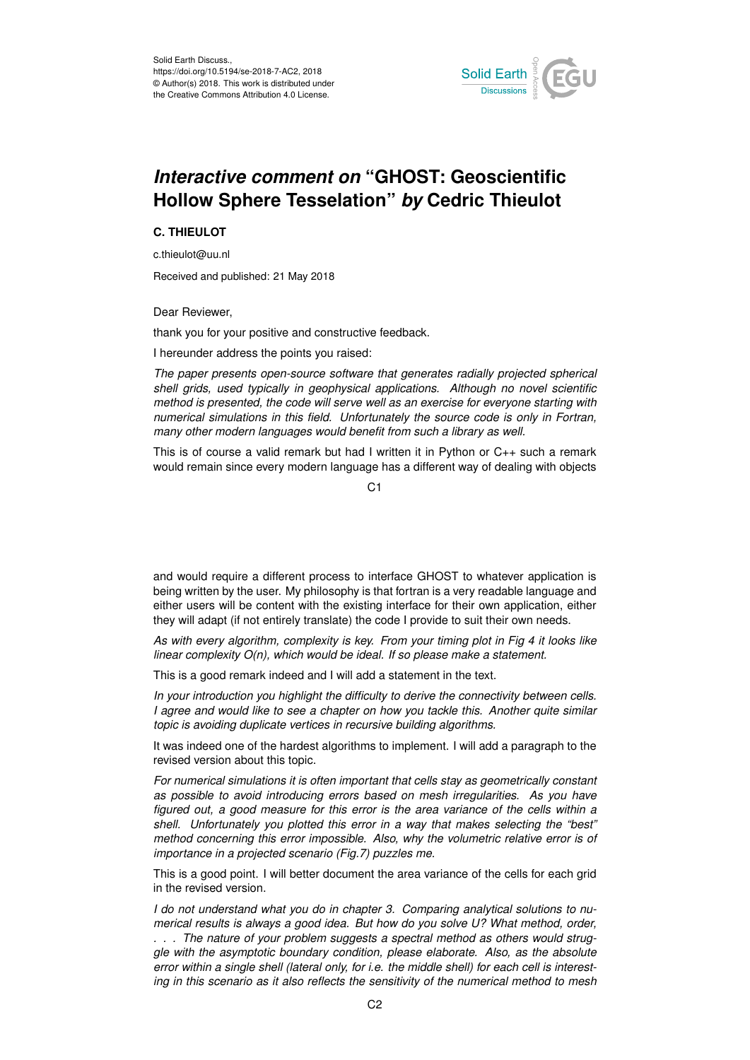

## *Interactive comment on* **"GHOST: Geoscientific Hollow Sphere Tesselation"** *by* **Cedric Thieulot**

## **C. THIEULOT**

c.thieulot@uu.nl

Received and published: 21 May 2018

Dear Reviewer,

thank you for your positive and constructive feedback.

I hereunder address the points you raised:

*The paper presents open-source software that generates radially projected spherical shell grids, used typically in geophysical applications. Although no novel scientific method is presented, the code will serve well as an exercise for everyone starting with numerical simulations in this field. Unfortunately the source code is only in Fortran, many other modern languages would benefit from such a library as well.*

This is of course a valid remark but had I written it in Python or C++ such a remark would remain since every modern language has a different way of dealing with objects

C<sub>1</sub>

and would require a different process to interface GHOST to whatever application is being written by the user. My philosophy is that fortran is a very readable language and either users will be content with the existing interface for their own application, either they will adapt (if not entirely translate) the code I provide to suit their own needs.

*As with every algorithm, complexity is key. From your timing plot in Fig 4 it looks like linear complexity O(n), which would be ideal. If so please make a statement.*

This is a good remark indeed and I will add a statement in the text.

*In your introduction you highlight the difficulty to derive the connectivity between cells. I agree and would like to see a chapter on how you tackle this. Another quite similar topic is avoiding duplicate vertices in recursive building algorithms.*

It was indeed one of the hardest algorithms to implement. I will add a paragraph to the revised version about this topic.

*For numerical simulations it is often important that cells stay as geometrically constant as possible to avoid introducing errors based on mesh irregularities. As you have figured out, a good measure for this error is the area variance of the cells within a shell. Unfortunately you plotted this error in a way that makes selecting the "best" method concerning this error impossible. Also, why the volumetric relative error is of importance in a projected scenario (Fig.7) puzzles me.*

This is a good point. I will better document the area variance of the cells for each grid in the revised version.

*I do not understand what you do in chapter 3. Comparing analytical solutions to numerical results is always a good idea. But how do you solve U? What method, order, . . . The nature of your problem suggests a spectral method as others would struggle with the asymptotic boundary condition, please elaborate. Also, as the absolute error within a single shell (lateral only, for i.e. the middle shell) for each cell is interesting in this scenario as it also reflects the sensitivity of the numerical method to mesh*